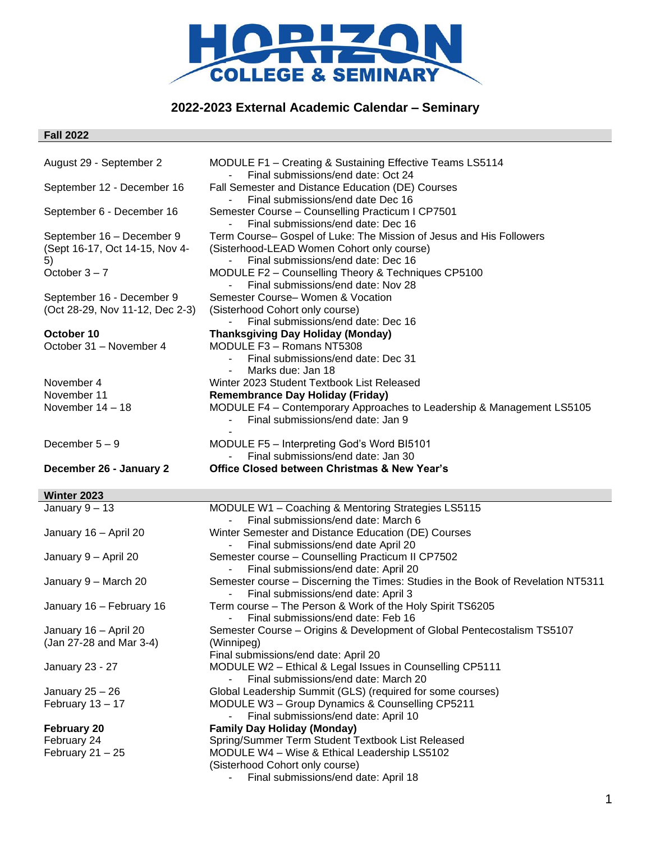

# **2022-2023 External Academic Calendar – Seminary**

## **Fall 2022**

| August 29 - September 2         | MODULE F1 - Creating & Sustaining Effective Teams LS5114<br>Final submissions/end date: Oct 24             |
|---------------------------------|------------------------------------------------------------------------------------------------------------|
| September 12 - December 16      | Fall Semester and Distance Education (DE) Courses<br>Final submissions/end date Dec 16                     |
| September 6 - December 16       | Semester Course - Counselling Practicum I CP7501                                                           |
| September 16 - December 9       | Final submissions/end date: Dec 16<br>Term Course-Gospel of Luke: The Mission of Jesus and His Followers   |
| (Sept 16-17, Oct 14-15, Nov 4-  | (Sisterhood-LEAD Women Cohort only course)                                                                 |
| 5)<br>October $3 - 7$           | Final submissions/end date: Dec 16<br>MODULE F2 - Counselling Theory & Techniques CP5100                   |
|                                 | Final submissions/end date: Nov 28                                                                         |
| September 16 - December 9       | Semester Course- Women & Vocation                                                                          |
| (Oct 28-29, Nov 11-12, Dec 2-3) | (Sisterhood Cohort only course)                                                                            |
| October 10                      | Final submissions/end date: Dec 16<br><b>Thanksgiving Day Holiday (Monday)</b>                             |
| October 31 - November 4         | MODULE F3 - Romans NT5308                                                                                  |
|                                 | Final submissions/end date: Dec 31                                                                         |
|                                 | Marks due: Jan 18<br>$\blacksquare$                                                                        |
| November 4                      | Winter 2023 Student Textbook List Released                                                                 |
| November 11                     | <b>Remembrance Day Holiday (Friday)</b>                                                                    |
| November $14 - 18$              | MODULE F4 - Contemporary Approaches to Leadership & Management LS5105<br>Final submissions/end date: Jan 9 |
| December $5-9$                  | MODULE F5 - Interpreting God's Word BI5101                                                                 |
|                                 | Final submissions/end date: Jan 30                                                                         |
| December 26 - January 2         | <b>Office Closed between Christmas &amp; New Year's</b>                                                    |
| Winter 2023                     |                                                                                                            |
|                                 |                                                                                                            |
| January $9 - 13$                | MODULE W1 - Coaching & Mentoring Strategies LS5115                                                         |
|                                 | Final submissions/end date: March 6                                                                        |
| January 16 - April 20           | Winter Semester and Distance Education (DE) Courses                                                        |
|                                 | Final submissions/end date April 20                                                                        |
| January 9 - April 20            | Semester course - Counselling Practicum II CP7502<br>Final submissions/end date: April 20                  |
| January 9 - March 20            | Semester course - Discerning the Times: Studies in the Book of Revelation NT5311                           |
| January 16 - February 16        | Final submissions/end date: April 3<br>Term course - The Person & Work of the Holy Spirit TS6205           |
|                                 | Final submissions/end date: Feb 16                                                                         |
| January 16 – April 20           | Semester Course - Origins & Development of Global Pentecostalism TS5107                                    |
| (Jan 27-28 and Mar 3-4)         | (Winnipeg)                                                                                                 |
|                                 | Final submissions/end date: April 20                                                                       |
| January 23 - 27                 | MODULE W2 - Ethical & Legal Issues in Counselling CP5111                                                   |
| January $25 - 26$               | Final submissions/end date: March 20<br>Global Leadership Summit (GLS) (required for some courses)         |
| February 13 - 17                | MODULE W3 - Group Dynamics & Counselling CP5211                                                            |
|                                 | Final submissions/end date: April 10<br>-                                                                  |
| <b>February 20</b>              | <b>Family Day Holiday (Monday)</b>                                                                         |
| February 24                     | Spring/Summer Term Student Textbook List Released                                                          |
| February $21 - 25$              | MODULE W4 - Wise & Ethical Leadership LS5102                                                               |
|                                 | (Sisterhood Cohort only course)<br>Final submissions/end date: April 18                                    |